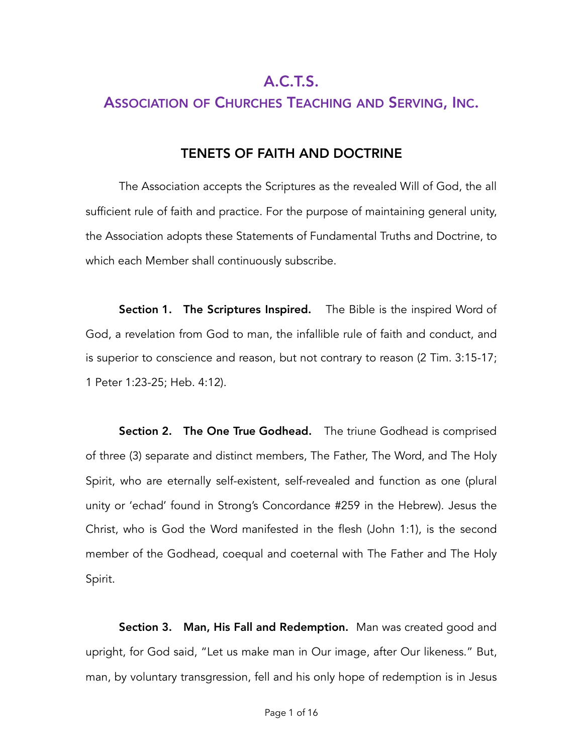# A.C.T.S.

# ASSOCIATION OF CHURCHES TEACHING AND SERVING, INC.

## TENETS OF FAITH AND DOCTRINE

The Association accepts the Scriptures as the revealed Will of God, the all sufficient rule of faith and practice. For the purpose of maintaining general unity, the Association adopts these Statements of Fundamental Truths and Doctrine, to which each Member shall continuously subscribe.

**Section 1. The Scriptures Inspired.** The Bible is the inspired Word of God, a revelation from God to man, the infallible rule of faith and conduct, and is superior to conscience and reason, but not contrary to reason (2 Tim. 3:15-17; 1 Peter 1:23-25; Heb. 4:12).

Section 2. The One True Godhead. The triune Godhead is comprised of three (3) separate and distinct members, The Father, The Word, and The Holy Spirit, who are eternally self-existent, self-revealed and function as one (plural unity or 'echad' found in Strong's Concordance #259 in the Hebrew). Jesus the Christ, who is God the Word manifested in the flesh (John 1:1), is the second member of the Godhead, coequal and coeternal with The Father and The Holy Spirit.

Section 3. Man, His Fall and Redemption. Man was created good and upright, for God said, "Let us make man in Our image, after Our likeness." But, man, by voluntary transgression, fell and his only hope of redemption is in Jesus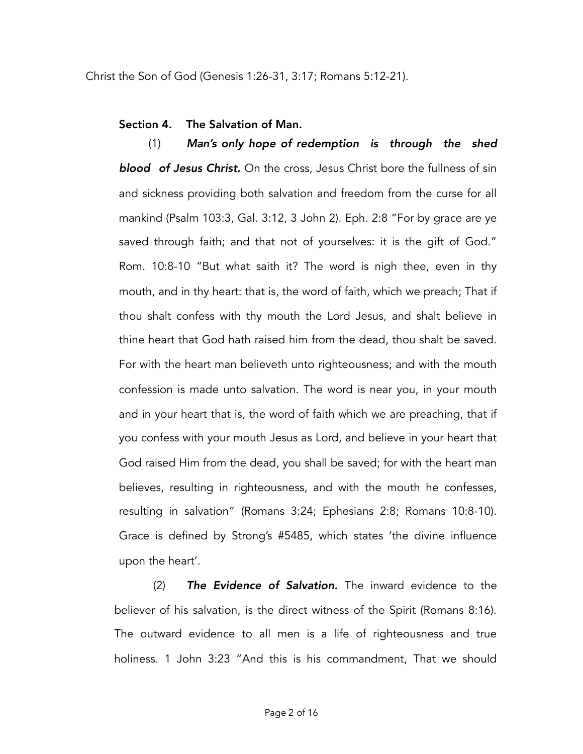Christ the Son of God (Genesis 1:26-31, 3:17; Romans 5:12-21).

### Section 4. The Salvation of Man.

(1) *Man's only hope of redemption is through the shed blood of Jesus Christ.* On the cross, Jesus Christ bore the fullness of sin and sickness providing both salvation and freedom from the curse for all mankind (Psalm 103:3, Gal. 3:12, 3 John 2). Eph. 2:8 "For by grace are ye saved through faith; and that not of yourselves: it is the gift of God." Rom. 10:8-10 "But what saith it? The word is nigh thee, even in thy mouth, and in thy heart: that is, the word of faith, which we preach; That if thou shalt confess with thy mouth the Lord Jesus, and shalt believe in thine heart that God hath raised him from the dead, thou shalt be saved. For with the heart man believeth unto righteousness; and with the mouth confession is made unto salvation. The word is near you, in your mouth and in your heart that is, the word of faith which we are preaching, that if you confess with your mouth Jesus as Lord, and believe in your heart that God raised Him from the dead, you shall be saved; for with the heart man believes, resulting in righteousness, and with the mouth he confesses, resulting in salvation" (Romans 3:24; Ephesians 2:8; Romans 10:8-10). Grace is defined by Strong's #5485, which states 'the divine influence upon the heart'.

(2) *The Evidence of Salvation.* The inward evidence to the believer of his salvation, is the direct witness of the Spirit (Romans 8:16). The outward evidence to all men is a life of righteousness and true holiness. 1 John 3:23 "And this is his commandment, That we should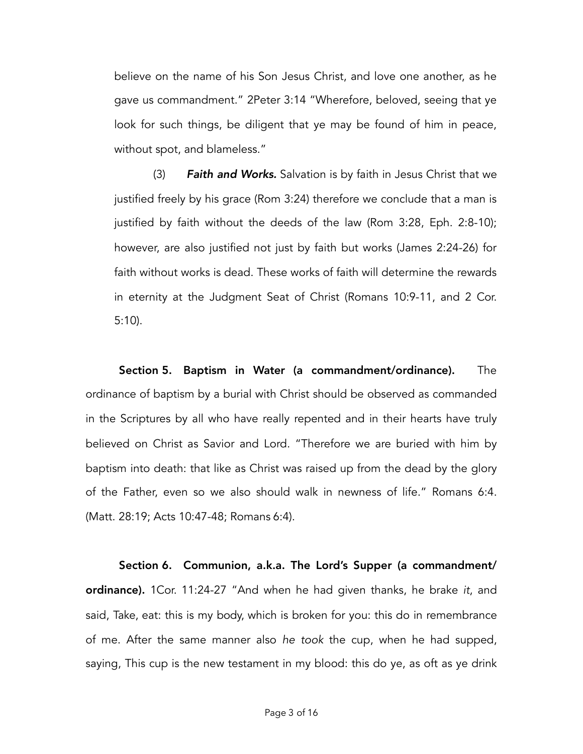believe on the name of his Son Jesus Christ, and love one another, as he gave us commandment." 2Peter 3:14 "Wherefore, beloved, seeing that ye look for such things, be diligent that ye may be found of him in peace, without spot, and blameless."

(3) *Faith and Works.* Salvation is by faith in Jesus Christ that we justified freely by his grace (Rom 3:24) therefore we conclude that a man is justified by faith without the deeds of the law (Rom 3:28, Eph. 2:8-10); however, are also justified not just by faith but works (James 2:24-26) for faith without works is dead. These works of faith will determine the rewards in eternity at the Judgment Seat of Christ (Romans 10:9-11, and 2 Cor. 5:10).

Section 5. Baptism in Water (a commandment/ordinance). The ordinance of baptism by a burial with Christ should be observed as commanded in the Scriptures by all who have really repented and in their hearts have truly believed on Christ as Savior and Lord. "Therefore we are buried with him by baptism into death: that like as Christ was raised up from the dead by the glory of the Father, even so we also should walk in newness of life." Romans 6:4. (Matt. 28:19; Acts 10:47-48; Romans 6:4).

Section 6. Communion, a.k.a. The Lord's Supper (a commandment/ ordinance). 1Cor. 11:24-27 "And when he had given thanks, he brake *it*, and said, Take, eat: this is my body, which is broken for you: this do in remembrance of me. After the same manner also *he took* the cup, when he had supped, saying, This cup is the new testament in my blood: this do ye, as oft as ye drink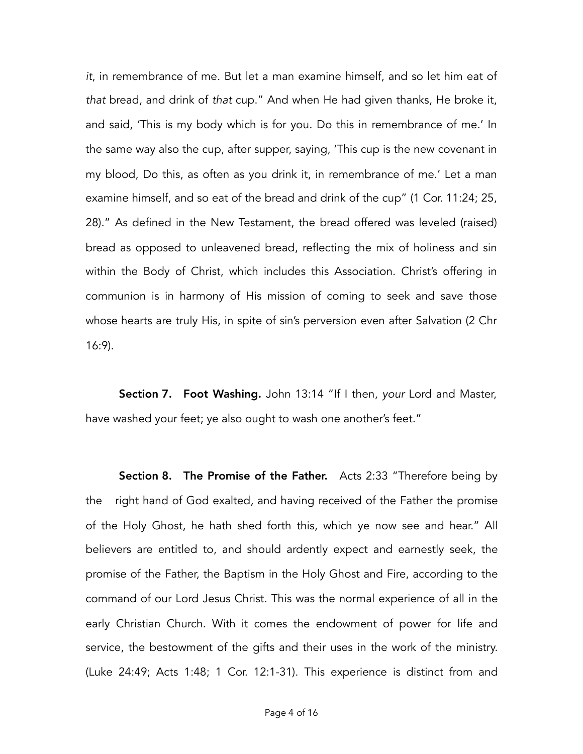*it*, in remembrance of me. But let a man examine himself, and so let him eat of *that* bread, and drink of *that* cup." And when He had given thanks, He broke it, and said, 'This is my body which is for you. Do this in remembrance of me.' In the same way also the cup, after supper, saying, 'This cup is the new covenant in my blood, Do this, as often as you drink it, in remembrance of me.' Let a man examine himself, and so eat of the bread and drink of the cup" (1 Cor. 11:24; 25, 28)." As defined in the New Testament, the bread offered was leveled (raised) bread as opposed to unleavened bread, reflecting the mix of holiness and sin within the Body of Christ, which includes this Association. Christ's offering in communion is in harmony of His mission of coming to seek and save those whose hearts are truly His, in spite of sin's perversion even after Salvation (2 Chr 16:9).

Section 7. Foot Washing. John 13:14 "If I then, *your* Lord and Master, have washed your feet; ye also ought to wash one another's feet."

**Section 8. The Promise of the Father.** Acts 2:33 "Therefore being by the right hand of God exalted, and having received of the Father the promise of the Holy Ghost, he hath shed forth this, which ye now see and hear." All believers are entitled to, and should ardently expect and earnestly seek, the promise of the Father, the Baptism in the Holy Ghost and Fire, according to the command of our Lord Jesus Christ. This was the normal experience of all in the early Christian Church. With it comes the endowment of power for life and service, the bestowment of the gifts and their uses in the work of the ministry. (Luke 24:49; Acts 1:48; 1 Cor. 12:1-31). This experience is distinct from and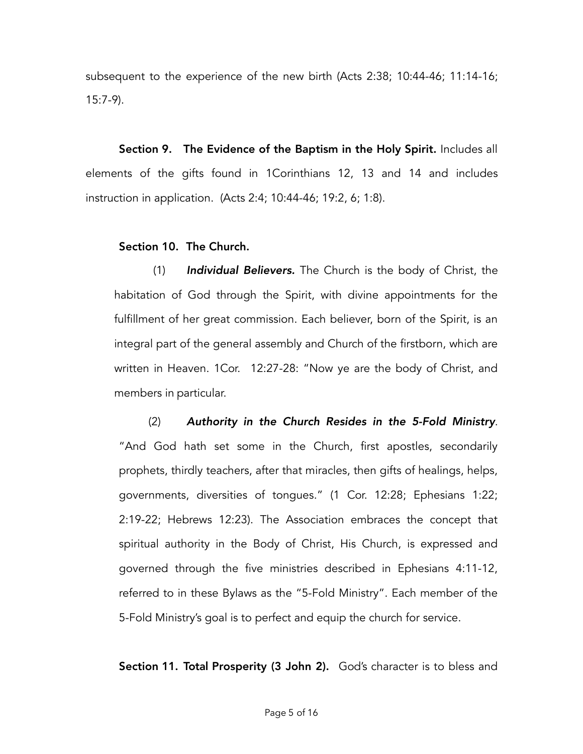subsequent to the experience of the new birth (Acts 2:38; 10:44-46; 11:14-16; 15:7-9).

Section 9. The Evidence of the Baptism in the Holy Spirit. Includes all elements of the gifts found in 1Corinthians 12, 13 and 14 and includes instruction in application. (Acts 2:4; 10:44-46; 19:2, 6; 1:8).

### Section 10. The Church.

(1) *Individual Believers.* The Church is the body of Christ, the habitation of God through the Spirit, with divine appointments for the fulfillment of her great commission. Each believer, born of the Spirit, is an integral part of the general assembly and Church of the firstborn, which are written in Heaven. 1Cor. 12:27-28: "Now ye are the body of Christ, and members in particular.

(2) *Authority in the Church Resides in the 5-Fold Ministry*. "And God hath set some in the Church, first apostles, secondarily prophets, thirdly teachers, after that miracles, then gifts of healings, helps, governments, diversities of tongues." (1 Cor. 12:28; Ephesians 1:22; 2:19-22; Hebrews 12:23). The Association embraces the concept that spiritual authority in the Body of Christ, His Church, is expressed and governed through the five ministries described in Ephesians 4:11-12, referred to in these Bylaws as the "5-Fold Ministry". Each member of the 5-Fold Ministry's goal is to perfect and equip the church for service.

Section 11. Total Prosperity (3 John 2). God's character is to bless and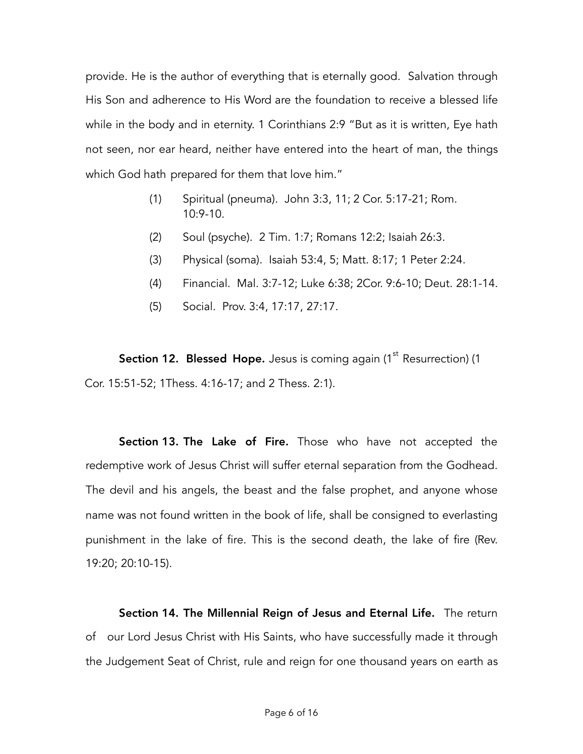provide. He is the author of everything that is eternally good. Salvation through His Son and adherence to His Word are the foundation to receive a blessed life while in the body and in eternity. 1 Corinthians 2:9 "But as it is written, Eye hath not seen, nor ear heard, neither have entered into the heart of man, the things which God hath prepared for them that love him."

- (1) Spiritual (pneuma). John 3:3, 11; 2 Cor. 5:17-21; Rom.  $10:9-10$ .
- (2) Soul (psyche). 2 Tim. 1:7; Romans 12:2; Isaiah 26:3.
- (3) Physical (soma). Isaiah 53:4, 5; Matt. 8:17; 1 Peter 2:24.
- (4) Financial. Mal. 3:7-12; Luke 6:38; 2Cor. 9:6-10; Deut. 28:1-14.
- (5) Social. Prov. 3:4, 17:17, 27:17.

**Section 12. Blessed Hope.** Jesus is coming again  $(1^{\text{st}}$  Resurrection)  $(1$ Cor. 15:51-52; 1Thess. 4:16-17; and 2 Thess. 2:1).

Section 13. The Lake of Fire. Those who have not accepted the redemptive work of Jesus Christ will suffer eternal separation from the Godhead. The devil and his angels, the beast and the false prophet, and anyone whose name was not found written in the book of life, shall be consigned to everlasting punishment in the lake of fire. This is the second death, the lake of fire (Rev. 19:20; 20:10-15).

Section 14. The Millennial Reign of Jesus and Eternal Life. The return of our Lord Jesus Christ with His Saints, who have successfully made it through the Judgement Seat of Christ, rule and reign for one thousand years on earth as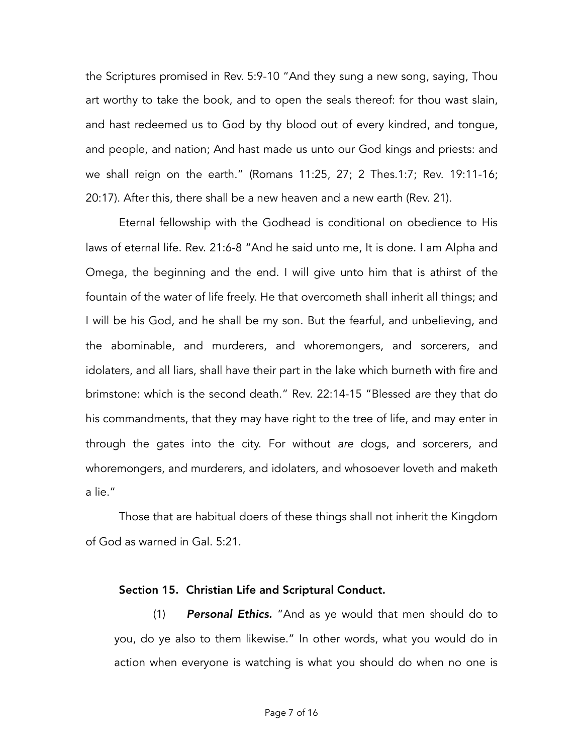the Scriptures promised in Rev. 5:9-10 "And they sung a new song, saying, Thou art worthy to take the book, and to open the seals thereof: for thou wast slain, and hast redeemed us to God by thy blood out of every kindred, and tongue, and people, and nation; And hast made us unto our God kings and priests: and we shall reign on the earth." (Romans 11:25, 27; 2 Thes.1:7; Rev. 19:11-16; 20:17). After this, there shall be a new heaven and a new earth (Rev. 21).

Eternal fellowship with the Godhead is conditional on obedience to His laws of eternal life. Rev. 21:6-8 "And he said unto me, It is done. I am Alpha and Omega, the beginning and the end. I will give unto him that is athirst of the fountain of the water of life freely. He that overcometh shall inherit all things; and I will be his God, and he shall be my son. But the fearful, and unbelieving, and the abominable, and murderers, and whoremongers, and sorcerers, and idolaters, and all liars, shall have their part in the lake which burneth with fire and brimstone: which is the second death." Rev. 22:14-15 "Blessed *are* they that do his commandments, that they may have right to the tree of life, and may enter in through the gates into the city. For without *are* dogs, and sorcerers, and whoremongers, and murderers, and idolaters, and whosoever loveth and maketh a lie."

Those that are habitual doers of these things shall not inherit the Kingdom of God as warned in Gal. 5:21.

#### Section 15. Christian Life and Scriptural Conduct.

(1) *Personal Ethics.* "And as ye would that men should do to you, do ye also to them likewise." In other words, what you would do in action when everyone is watching is what you should do when no one is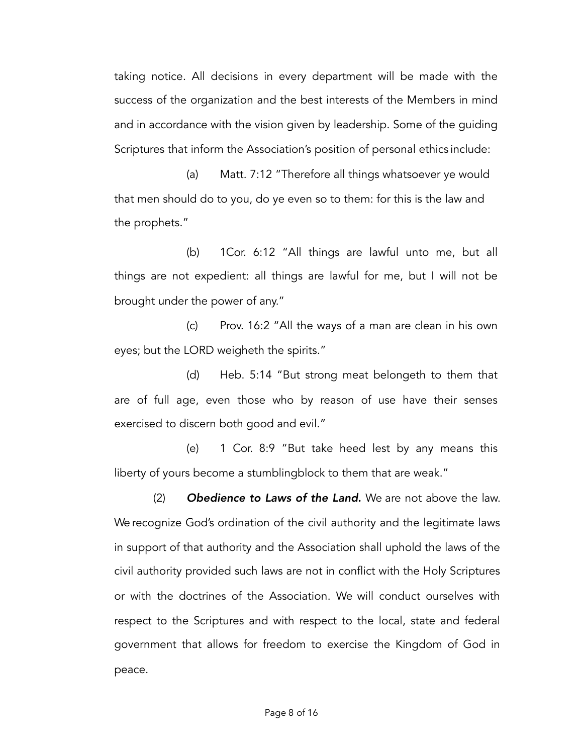taking notice. All decisions in every department will be made with the success of the organization and the best interests of the Members in mind and in accordance with the vision given by leadership. Some of the guiding Scriptures that inform the Association's position of personal ethics include:

(a) Matt. 7:12 "Therefore all things whatsoever ye would that men should do to you, do ye even so to them: for this is the law and the prophets."

(b) 1Cor. 6:12 "All things are lawful unto me, but all things are not expedient: all things are lawful for me, but I will not be brought under the power of any."

(c) Prov. 16:2 "All the ways of a man are clean in his own eyes; but the LORD weigheth the spirits."

(d) Heb. 5:14 "But strong meat belongeth to them that are of full age, even those who by reason of use have their senses exercised to discern both good and evil."

(e) 1 Cor. 8:9 "But take heed lest by any means this liberty of yours become a stumblingblock to them that are weak."

(2) *Obedience to Laws of the Land*. We are not above the law. We recognize God's ordination of the civil authority and the legitimate laws in support of that authority and the Association shall uphold the laws of the civil authority provided such laws are not in conflict with the Holy Scriptures or with the doctrines of the Association. We will conduct ourselves with respect to the Scriptures and with respect to the local, state and federal government that allows for freedom to exercise the Kingdom of God in peace.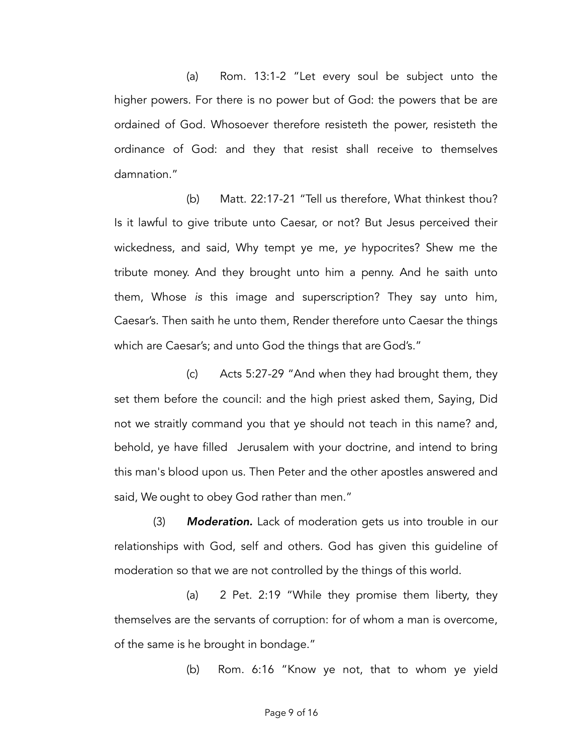(a) Rom. 13:1-2 "Let every soul be subject unto the higher powers. For there is no power but of God: the powers that be are ordained of God. Whosoever therefore resisteth the power, resisteth the ordinance of God: and they that resist shall receive to themselves damnation."

(b) Matt. 22:17-21 "Tell us therefore, What thinkest thou? Is it lawful to give tribute unto Caesar, or not? But Jesus perceived their wickedness, and said, Why tempt ye me, *ye* hypocrites? Shew me the tribute money. And they brought unto him a penny. And he saith unto them, Whose *is* this image and superscription? They say unto him, Caesar's. Then saith he unto them, Render therefore unto Caesar the things which are Caesar's; and unto God the things that are God's."

(c) Acts 5:27-29 "And when they had brought them, they set them before the council: and the high priest asked them, Saying, Did not we straitly command you that ye should not teach in this name? and, behold, ye have filled Jerusalem with your doctrine, and intend to bring this man's blood upon us. Then Peter and the other apostles answered and said, We ought to obey God rather than men."

(3) *Moderation.* Lack of moderation gets us into trouble in our relationships with God, self and others. God has given this guideline of moderation so that we are not controlled by the things of this world.

(a) 2 Pet. 2:19 "While they promise them liberty, they themselves are the servants of corruption: for of whom a man is overcome, of the same is he brought in bondage."

(b) Rom. 6:16 "Know ye not, that to whom ye yield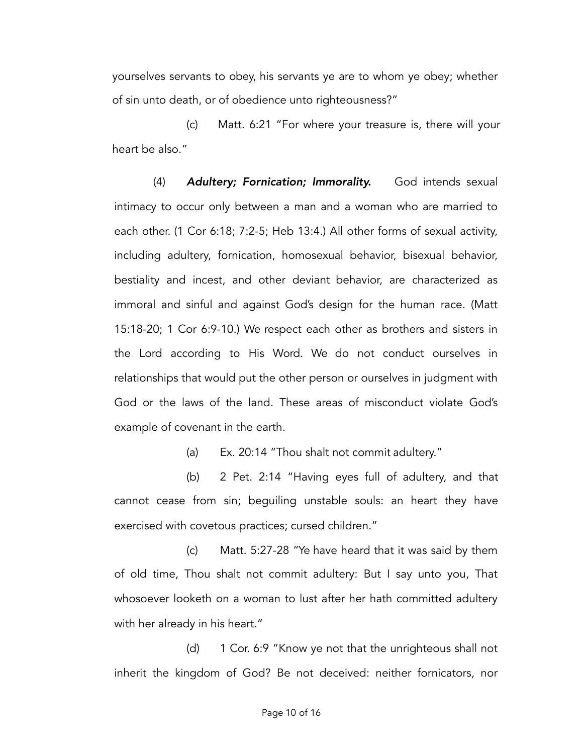yourselves servants to obey, his servants ye are to whom ye obey; whether of sin unto death, or of obedience unto righteousness?"

(c) Matt. 6:21 "For where your treasure is, there will your heart be also."

(4) *Adultery; Fornication; Immorality.* God intends sexual intimacy to occur only between a man and a woman who are married to each other. (1 Cor 6:18; 7:2-5; Heb 13:4.) All other forms of sexual activity, including adultery, fornication, homosexual behavior, bisexual behavior, bestiality and incest, and other deviant behavior, are characterized as immoral and sinful and against God's design for the human race. (Matt 15:18-20; 1 Cor 6:9-10.) We respect each other as brothers and sisters in the Lord according to His Word. We do not conduct ourselves in relationships that would put the other person or ourselves in judgment with God or the laws of the land. These areas of misconduct violate God's example of covenant in the earth.

(a) Ex. 20:14 "Thou shalt not commit adultery."

(b) 2 Pet. 2:14 "Having eyes full of adultery, and that cannot cease from sin; beguiling unstable souls: an heart they have exercised with covetous practices; cursed children."

(c) Matt. 5:27-28 "Ye have heard that it was said by them of old time, Thou shalt not commit adultery: But I say unto you, That whosoever looketh on a woman to lust after her hath committed adultery with her already in his heart."

(d) 1 Cor. 6:9 "Know ye not that the unrighteous shall not inherit the kingdom of God? Be not deceived: neither fornicators, nor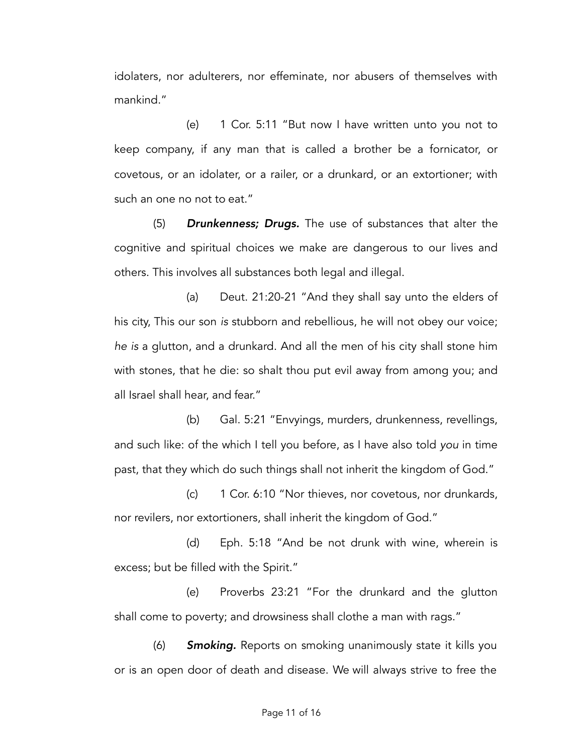idolaters, nor adulterers, nor effeminate, nor abusers of themselves with mankind."

(e) 1 Cor. 5:11 "But now I have written unto you not to keep company, if any man that is called a brother be a fornicator, or covetous, or an idolater, or a railer, or a drunkard, or an extortioner; with such an one no not to eat."

(5) *Drunkenness; Drugs.* The use of substances that alter the cognitive and spiritual choices we make are dangerous to our lives and others. This involves all substances both legal and illegal.

(a) Deut. 21:20-21 "And they shall say unto the elders of his city, This our son *is* stubborn and rebellious, he will not obey our voice; *he is* a glutton, and a drunkard. And all the men of his city shall stone him with stones, that he die: so shalt thou put evil away from among you; and all Israel shall hear, and fear."

(b) Gal. 5:21 "Envyings, murders, drunkenness, revellings, and such like: of the which I tell you before, as I have also told *you* in time past, that they which do such things shall not inherit the kingdom of God."

(c) 1 Cor. 6:10 "Nor thieves, nor covetous, nor drunkards, nor revilers, nor extortioners, shall inherit the kingdom of God."

(d) Eph. 5:18 "And be not drunk with wine, wherein is excess; but be filled with the Spirit."

(e) Proverbs 23:21 "For the drunkard and the glutton shall come to poverty; and drowsiness shall clothe a man with rags."

(6) *Smoking.* Reports on smoking unanimously state it kills you or is an open door of death and disease. We will always strive to free the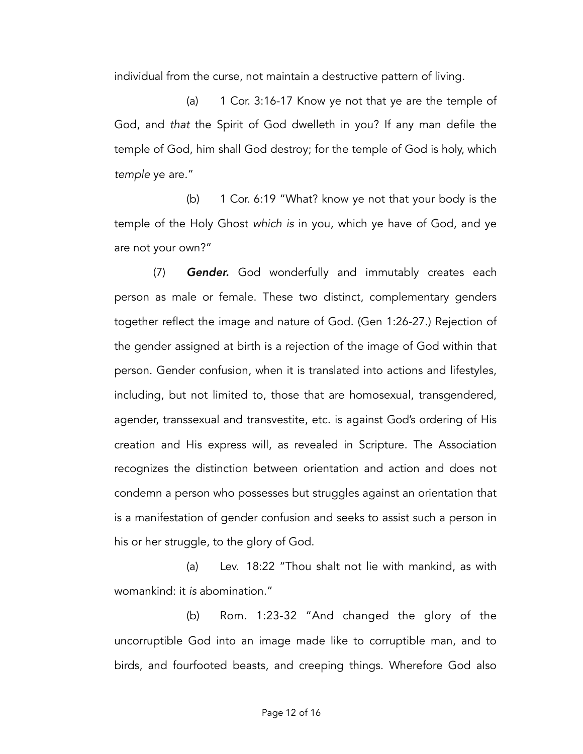individual from the curse, not maintain a destructive pattern of living.

(a) 1 Cor. 3:16-17 Know ye not that ye are the temple of God, and *that* the Spirit of God dwelleth in you? If any man defile the temple of God, him shall God destroy; for the temple of God is holy, which *temple* ye are."

(b) 1 Cor. 6:19 "What? know ye not that your body is the temple of the Holy Ghost *which is* in you, which ye have of God, and ye are not your own?"

(7) *Gender.* God wonderfully and immutably creates each person as male or female. These two distinct, complementary genders together reflect the image and nature of God. (Gen 1:26-27.) Rejection of the gender assigned at birth is a rejection of the image of God within that person. Gender confusion, when it is translated into actions and lifestyles, including, but not limited to, those that are homosexual, transgendered, agender, transsexual and transvestite, etc. is against God's ordering of His creation and His express will, as revealed in Scripture. The Association recognizes the distinction between orientation and action and does not condemn a person who possesses but struggles against an orientation that is a manifestation of gender confusion and seeks to assist such a person in his or her struggle, to the glory of God.

(a) Lev. 18:22 "Thou shalt not lie with mankind, as with womankind: it *is* abomination."

(b) Rom. 1:23-32 "And changed the glory of the uncorruptible God into an image made like to corruptible man, and to birds, and fourfooted beasts, and creeping things. Wherefore God also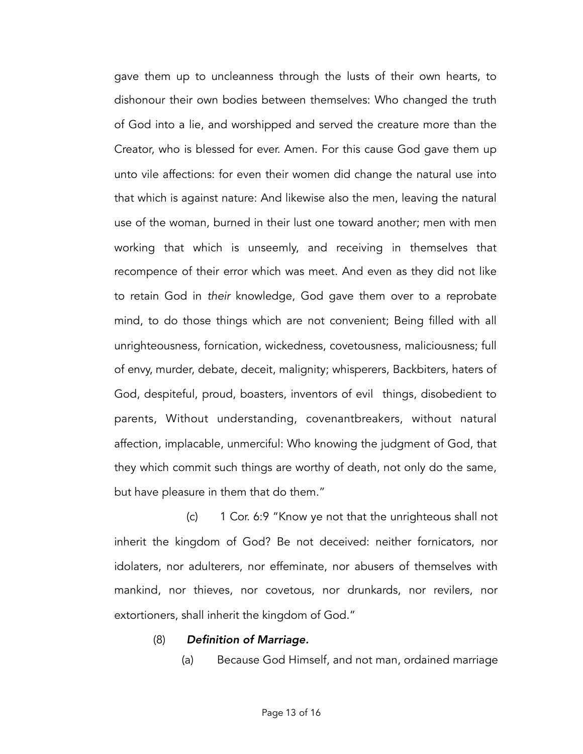gave them up to uncleanness through the lusts of their own hearts, to dishonour their own bodies between themselves: Who changed the truth of God into a lie, and worshipped and served the creature more than the Creator, who is blessed for ever. Amen. For this cause God gave them up unto vile affections: for even their women did change the natural use into that which is against nature: And likewise also the men, leaving the natural use of the woman, burned in their lust one toward another; men with men working that which is unseemly, and receiving in themselves that recompence of their error which was meet. And even as they did not like to retain God in *their* knowledge, God gave them over to a reprobate mind, to do those things which are not convenient; Being filled with all unrighteousness, fornication, wickedness, covetousness, maliciousness; full of envy, murder, debate, deceit, malignity; whisperers, Backbiters, haters of God, despiteful, proud, boasters, inventors of evil things, disobedient to parents, Without understanding, covenantbreakers, without natural affection, implacable, unmerciful: Who knowing the judgment of God, that they which commit such things are worthy of death, not only do the same, but have pleasure in them that do them."

(c) 1 Cor. 6:9 "Know ye not that the unrighteous shall not inherit the kingdom of God? Be not deceived: neither fornicators, nor idolaters, nor adulterers, nor effeminate, nor abusers of themselves with mankind, nor thieves, nor covetous, nor drunkards, nor revilers, nor extortioners, shall inherit the kingdom of God."

#### (8) *Definition of Marriage.*

(a) Because God Himself, and not man, ordained marriage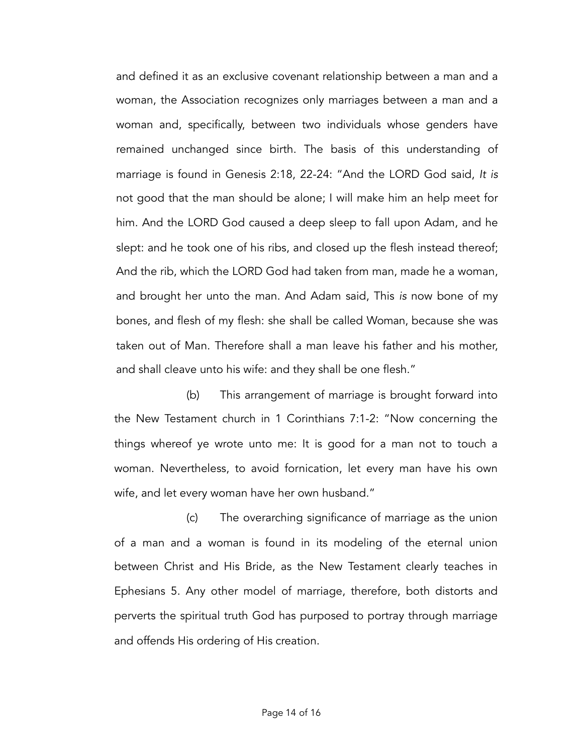and defined it as an exclusive covenant relationship between a man and a woman, the Association recognizes only marriages between a man and a woman and, specifically, between two individuals whose genders have remained unchanged since birth. The basis of this understanding of marriage is found in Genesis 2:18, 22-24: "And the LORD God said, *It is*  not good that the man should be alone; I will make him an help meet for him. And the LORD God caused a deep sleep to fall upon Adam, and he slept: and he took one of his ribs, and closed up the flesh instead thereof; And the rib, which the LORD God had taken from man, made he a woman, and brought her unto the man. And Adam said, This *is* now bone of my bones, and flesh of my flesh: she shall be called Woman, because she was taken out of Man. Therefore shall a man leave his father and his mother, and shall cleave unto his wife: and they shall be one flesh."

(b) This arrangement of marriage is brought forward into the New Testament church in 1 Corinthians 7:1-2: "Now concerning the things whereof ye wrote unto me: It is good for a man not to touch a woman. Nevertheless, to avoid fornication, let every man have his own wife, and let every woman have her own husband."

(c) The overarching significance of marriage as the union of a man and a woman is found in its modeling of the eternal union between Christ and His Bride, as the New Testament clearly teaches in Ephesians 5. Any other model of marriage, therefore, both distorts and perverts the spiritual truth God has purposed to portray through marriage and offends His ordering of His creation.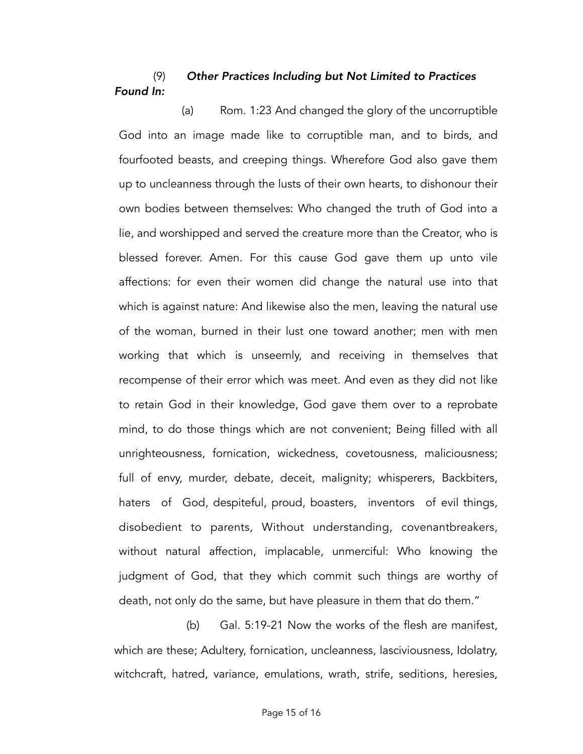## (9) *Other Practices Including but Not Limited to Practices Found In:*

(a) Rom. 1:23 And changed the glory of the uncorruptible God into an image made like to corruptible man, and to birds, and fourfooted beasts, and creeping things. Wherefore God also gave them up to uncleanness through the lusts of their own hearts, to dishonour their own bodies between themselves: Who changed the truth of God into a lie, and worshipped and served the creature more than the Creator, who is blessed forever. Amen. For this cause God gave them up unto vile affections: for even their women did change the natural use into that which is against nature: And likewise also the men, leaving the natural use of the woman, burned in their lust one toward another; men with men working that which is unseemly, and receiving in themselves that recompense of their error which was meet. And even as they did not like to retain God in their knowledge, God gave them over to a reprobate mind, to do those things which are not convenient; Being filled with all unrighteousness, fornication, wickedness, covetousness, maliciousness; full of envy, murder, debate, deceit, malignity; whisperers, Backbiters, haters of God, despiteful, proud, boasters, inventors of evil things, disobedient to parents, Without understanding, covenantbreakers, without natural affection, implacable, unmerciful: Who knowing the judgment of God, that they which commit such things are worthy of death, not only do the same, but have pleasure in them that do them."

(b) Gal. 5:19-21 Now the works of the flesh are manifest, which are these; Adultery, fornication, uncleanness, lasciviousness, Idolatry, witchcraft, hatred, variance, emulations, wrath, strife, seditions, heresies,